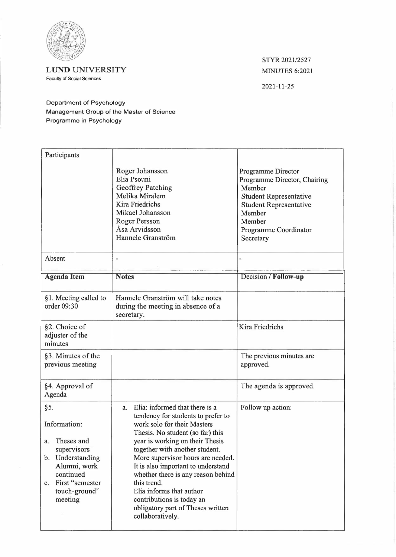

**LUND** UNIVERSITY Faculty of Social Sciences

STYR 2021/2527 MINUTES 6:2021

2021-11-25

Department of Psychology Management Group of the Master of Science Programme in Psychology

| Participants                                                                                                                                                                            |                                                                                                                                                                                                                                                                                                                                                                                                                                                                      |                                                                                                                                                                                          |
|-----------------------------------------------------------------------------------------------------------------------------------------------------------------------------------------|----------------------------------------------------------------------------------------------------------------------------------------------------------------------------------------------------------------------------------------------------------------------------------------------------------------------------------------------------------------------------------------------------------------------------------------------------------------------|------------------------------------------------------------------------------------------------------------------------------------------------------------------------------------------|
|                                                                                                                                                                                         | Roger Johansson<br>Elia Psouni<br><b>Geoffrey Patching</b><br>Melika Miralem<br><b>Kira Friedrichs</b><br>Mikael Johansson<br><b>Roger Persson</b><br>Åsa Arvidsson<br>Hannele Granström                                                                                                                                                                                                                                                                             | Programme Director<br>Programme Director, Chairing<br>Member<br><b>Student Representative</b><br><b>Student Representative</b><br>Member<br>Member<br>Programme Coordinator<br>Secretary |
| Absent                                                                                                                                                                                  | $\blacksquare$                                                                                                                                                                                                                                                                                                                                                                                                                                                       |                                                                                                                                                                                          |
| <b>Agenda Item</b>                                                                                                                                                                      | <b>Notes</b>                                                                                                                                                                                                                                                                                                                                                                                                                                                         | Decision / Follow-up                                                                                                                                                                     |
| §1. Meeting called to<br>order 09:30                                                                                                                                                    | Hannele Granström will take notes<br>during the meeting in absence of a<br>secretary.                                                                                                                                                                                                                                                                                                                                                                                |                                                                                                                                                                                          |
| §2. Choice of<br>adjuster of the<br>minutes                                                                                                                                             |                                                                                                                                                                                                                                                                                                                                                                                                                                                                      | <b>Kira Friedrichs</b>                                                                                                                                                                   |
| §3. Minutes of the<br>previous meeting                                                                                                                                                  |                                                                                                                                                                                                                                                                                                                                                                                                                                                                      | The previous minutes are<br>approved.                                                                                                                                                    |
| §4. Approval of<br>Agenda                                                                                                                                                               |                                                                                                                                                                                                                                                                                                                                                                                                                                                                      | The agenda is approved.                                                                                                                                                                  |
| §5.<br>Information:<br>Theses and<br>a.<br>supervisors<br>Understanding<br>$\mathbf{b}$ .<br>Alumni, work<br>continued<br>First "semester<br>$\mathbf{c}$ .<br>touch-ground"<br>meeting | Elia: informed that there is a<br>a.<br>tendency for students to prefer to<br>work solo for their Masters<br>Thesis. No student (so far) this<br>year is working on their Thesis<br>together with another student.<br>More supervisor hours are needed.<br>It is also important to understand<br>whether there is any reason behind<br>this trend.<br>Elia informs that author<br>contributions is today an<br>obligatory part of Theses written<br>collaboratively. | Follow up action:                                                                                                                                                                        |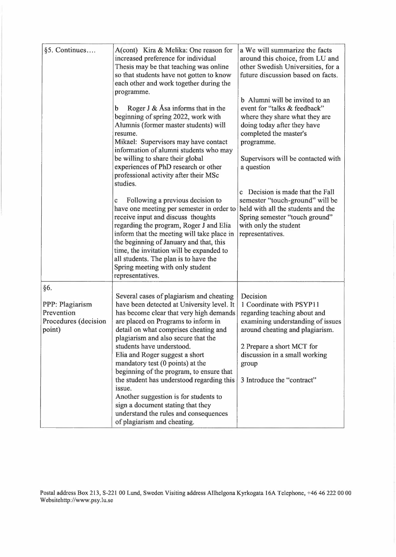| §5. Continues                                                          | A(cont) Kira & Melika: One reason for<br>increased preference for individual<br>Thesis may be that teaching was online<br>so that students have not gotten to know<br>each other and work together during the<br>programme.<br>Roger J & Åsa informs that in the<br>b<br>beginning of spring 2022, work with<br>Alumnis (former master students) will<br>resume.<br>Mikael: Supervisors may have contact<br>information of alumni students who may<br>be willing to share their global<br>experiences of PhD research or other<br>professional activity after their MSc<br>studies.<br>Following a previous decision to<br>c<br>have one meeting per semester in order to<br>receive input and discuss thoughts<br>regarding the program, Roger J and Elia<br>inform that the meeting will take place in<br>the beginning of January and that, this<br>time, the invitation will be expanded to<br>all students. The plan is to have the<br>Spring meeting with only student<br>representatives. | a We will summarize the facts<br>around this choice, from LU and<br>other Swedish Universities, for a<br>future discussion based on facts.<br>b Alumni will be invited to an<br>event for "talks & feedback"<br>where they share what they are<br>doing today after they have<br>completed the master's<br>programme.<br>Supervisors will be contacted with<br>a question<br>Decision is made that the Fall<br>semester "touch-ground" will be<br>held with all the students and the<br>Spring semester "touch ground"<br>with only the student<br>representatives. |
|------------------------------------------------------------------------|--------------------------------------------------------------------------------------------------------------------------------------------------------------------------------------------------------------------------------------------------------------------------------------------------------------------------------------------------------------------------------------------------------------------------------------------------------------------------------------------------------------------------------------------------------------------------------------------------------------------------------------------------------------------------------------------------------------------------------------------------------------------------------------------------------------------------------------------------------------------------------------------------------------------------------------------------------------------------------------------------|---------------------------------------------------------------------------------------------------------------------------------------------------------------------------------------------------------------------------------------------------------------------------------------------------------------------------------------------------------------------------------------------------------------------------------------------------------------------------------------------------------------------------------------------------------------------|
| §6.<br>PPP: Plagiarism<br>Prevention<br>Procedures (decision<br>point) | Several cases of plagiarism and cheating<br>have been detected at University level. It<br>has become clear that very high demands<br>are placed on Programs to inform in<br>detail on what comprises cheating and<br>plagiarism and also secure that the<br>students have understood.<br>Elia and Roger suggest a short<br>mandatory test (0 points) at the<br>beginning of the program, to ensure that<br>the student has understood regarding this<br>issue.<br>Another suggestion is for students to<br>sign a document stating that they<br>understand the rules and consequences<br>of plagiarism and cheating.                                                                                                                                                                                                                                                                                                                                                                             | Decision<br>1 Coordinate with PSYP11<br>regarding teaching about and<br>examining understanding of issues<br>around cheating and plagiarism.<br>2 Prepare a short MCT for<br>discussion in a small working<br>group<br>3 Introduce the "contract"                                                                                                                                                                                                                                                                                                                   |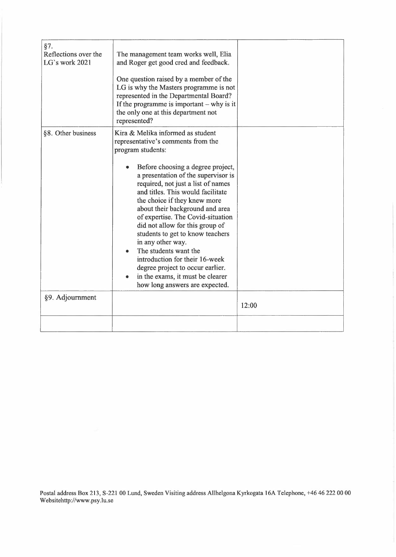| §7.<br>Reflections over the<br>LG's work 2021 | The management team works well, Elia<br>and Roger get good cred and feedback.<br>One question raised by a member of the<br>LG is why the Masters programme is not<br>represented in the Departmental Board?<br>If the programme is important $-$ why is it<br>the only one at this department not<br>represented?                                                                                                                                                                                                                                                                                                                         |       |
|-----------------------------------------------|-------------------------------------------------------------------------------------------------------------------------------------------------------------------------------------------------------------------------------------------------------------------------------------------------------------------------------------------------------------------------------------------------------------------------------------------------------------------------------------------------------------------------------------------------------------------------------------------------------------------------------------------|-------|
| §8. Other business                            | Kira & Melika informed as student<br>representative's comments from the<br>program students:<br>Before choosing a degree project,<br>a presentation of the supervisor is<br>required, not just a list of names<br>and titles. This would facilitate<br>the choice if they knew more<br>about their background and area<br>of expertise. The Covid-situation<br>did not allow for this group of<br>students to get to know teachers<br>in any other way.<br>The students want the<br>introduction for their 16-week<br>degree project to occur earlier.<br>in the exams, it must be clearer<br>$\bullet$<br>how long answers are expected. |       |
| §9. Adjournment                               |                                                                                                                                                                                                                                                                                                                                                                                                                                                                                                                                                                                                                                           | 12:00 |
|                                               |                                                                                                                                                                                                                                                                                                                                                                                                                                                                                                                                                                                                                                           |       |